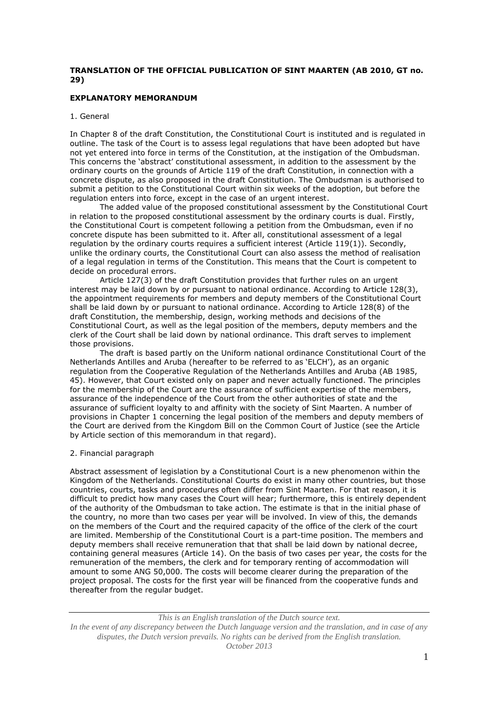# **TRANSLATION OF THE OFFICIAL PUBLICATION OF SINT MAARTEN (AB 2010, GT no. 29)**

# **EXPLANATORY MEMORANDUM**

# 1. General

In Chapter 8 of the draft Constitution, the Constitutional Court is instituted and is regulated in outline. The task of the Court is to assess legal regulations that have been adopted but have not yet entered into force in terms of the Constitution, at the instigation of the Ombudsman. This concerns the 'abstract' constitutional assessment, in addition to the assessment by the ordinary courts on the grounds of Article 119 of the draft Constitution, in connection with a concrete dispute, as also proposed in the draft Constitution. The Ombudsman is authorised to submit a petition to the Constitutional Court within six weeks of the adoption, but before the regulation enters into force, except in the case of an urgent interest.

The added value of the proposed constitutional assessment by the Constitutional Court in relation to the proposed constitutional assessment by the ordinary courts is dual. Firstly, the Constitutional Court is competent following a petition from the Ombudsman, even if no concrete dispute has been submitted to it. After all, constitutional assessment of a legal regulation by the ordinary courts requires a sufficient interest (Article 119(1)). Secondly, unlike the ordinary courts, the Constitutional Court can also assess the method of realisation of a legal regulation in terms of the Constitution. This means that the Court is competent to decide on procedural errors.

Article 127(3) of the draft Constitution provides that further rules on an urgent interest may be laid down by or pursuant to national ordinance. According to Article 128(3), the appointment requirements for members and deputy members of the Constitutional Court shall be laid down by or pursuant to national ordinance. According to Article 128(8) of the draft Constitution, the membership, design, working methods and decisions of the Constitutional Court, as well as the legal position of the members, deputy members and the clerk of the Court shall be laid down by national ordinance. This draft serves to implement those provisions.

The draft is based partly on the Uniform national ordinance Constitutional Court of the Netherlands Antilles and Aruba (hereafter to be referred to as 'ELCH'), as an organic regulation from the Cooperative Regulation of the Netherlands Antilles and Aruba (AB 1985, 45). However, that Court existed only on paper and never actually functioned. The principles for the membership of the Court are the assurance of sufficient expertise of the members, assurance of the independence of the Court from the other authorities of state and the assurance of sufficient loyalty to and affinity with the society of Sint Maarten. A number of provisions in Chapter 1 concerning the legal position of the members and deputy members of the Court are derived from the Kingdom Bill on the Common Court of Justice (see the Article by Article section of this memorandum in that regard).

### 2. Financial paragraph

Abstract assessment of legislation by a Constitutional Court is a new phenomenon within the Kingdom of the Netherlands. Constitutional Courts do exist in many other countries, but those countries, courts, tasks and procedures often differ from Sint Maarten. For that reason, it is difficult to predict how many cases the Court will hear; furthermore, this is entirely dependent of the authority of the Ombudsman to take action. The estimate is that in the initial phase of the country, no more than two cases per year will be involved. In view of this, the demands on the members of the Court and the required capacity of the office of the clerk of the court are limited. Membership of the Constitutional Court is a part-time position. The members and deputy members shall receive remuneration that that shall be laid down by national decree, containing general measures (Article 14). On the basis of two cases per year, the costs for the remuneration of the members, the clerk and for temporary renting of accommodation will amount to some ANG 50,000. The costs will become clearer during the preparation of the project proposal. The costs for the first year will be financed from the cooperative funds and thereafter from the regular budget.

*This is an English translation of the Dutch source text. In the event of any discrepancy between the Dutch language version and the translation, and in case of any disputes, the Dutch version prevails. No rights can be derived from the English translation. October 2013*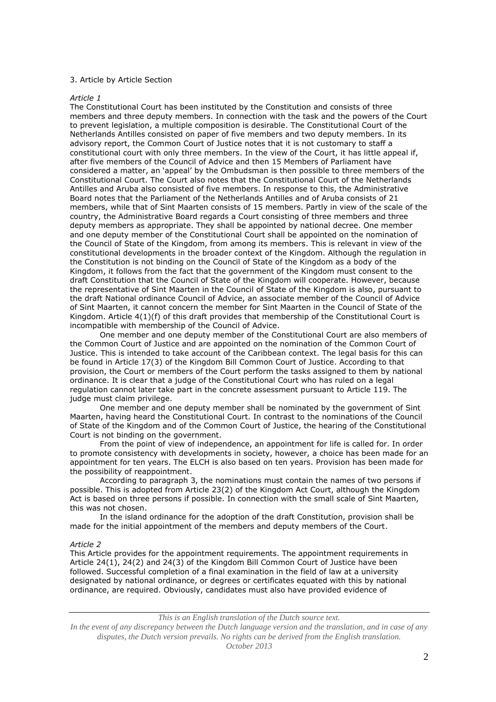### 3. Article by Article Section

### *Article 1*

The Constitutional Court has been instituted by the Constitution and consists of three members and three deputy members. In connection with the task and the powers of the Court to prevent legislation, a multiple composition is desirable. The Constitutional Court of the Netherlands Antilles consisted on paper of five members and two deputy members. In its advisory report, the Common Court of Justice notes that it is not customary to staff a constitutional court with only three members. In the view of the Court, it has little appeal if, after five members of the Council of Advice and then 15 Members of Parliament have considered a matter, an 'appeal' by the Ombudsman is then possible to three members of the Constitutional Court. The Court also notes that the Constitutional Court of the Netherlands Antilles and Aruba also consisted of five members. In response to this, the Administrative Board notes that the Parliament of the Netherlands Antilles and of Aruba consists of 21 members, while that of Sint Maarten consists of 15 members. Partly in view of the scale of the country, the Administrative Board regards a Court consisting of three members and three deputy members as appropriate. They shall be appointed by national decree. One member and one deputy member of the Constitutional Court shall be appointed on the nomination of the Council of State of the Kingdom, from among its members. This is relevant in view of the constitutional developments in the broader context of the Kingdom. Although the regulation in the Constitution is not binding on the Council of State of the Kingdom as a body of the Kingdom, it follows from the fact that the government of the Kingdom must consent to the draft Constitution that the Council of State of the Kingdom will cooperate. However, because the representative of Sint Maarten in the Council of State of the Kingdom is also, pursuant to the draft National ordinance Council of Advice, an associate member of the Council of Advice of Sint Maarten, it cannot concern the member for Sint Maarten in the Council of State of the Kingdom. Article  $4(1)(f)$  of this draft provides that membership of the Constitutional Court is incompatible with membership of the Council of Advice.

One member and one deputy member of the Constitutional Court are also members of the Common Court of Justice and are appointed on the nomination of the Common Court of Justice. This is intended to take account of the Caribbean context. The legal basis for this can be found in Article 17(3) of the Kingdom Bill Common Court of Justice. According to that provision, the Court or members of the Court perform the tasks assigned to them by national ordinance. It is clear that a judge of the Constitutional Court who has ruled on a legal regulation cannot later take part in the concrete assessment pursuant to Article 119. The judge must claim privilege.

One member and one deputy member shall be nominated by the government of Sint Maarten, having heard the Constitutional Court. In contrast to the nominations of the Council of State of the Kingdom and of the Common Court of Justice, the hearing of the Constitutional Court is not binding on the government.

From the point of view of independence, an appointment for life is called for. In order to promote consistency with developments in society, however, a choice has been made for an appointment for ten years. The ELCH is also based on ten years. Provision has been made for the possibility of reappointment.

According to paragraph 3, the nominations must contain the names of two persons if possible. This is adopted from Article 23(2) of the Kingdom Act Court, although the Kingdom Act is based on three persons if possible. In connection with the small scale of Sint Maarten, this was not chosen.

In the island ordinance for the adoption of the draft Constitution, provision shall be made for the initial appointment of the members and deputy members of the Court.

# *Article 2*

This Article provides for the appointment requirements. The appointment requirements in Article 24(1), 24(2) and 24(3) of the Kingdom Bill Common Court of Justice have been followed. Successful completion of a final examination in the field of law at a university designated by national ordinance, or degrees or certificates equated with this by national ordinance, are required. Obviously, candidates must also have provided evidence of

*This is an English translation of the Dutch source text. In the event of any discrepancy between the Dutch language version and the translation, and in case of any disputes, the Dutch version prevails. No rights can be derived from the English translation. October 2013*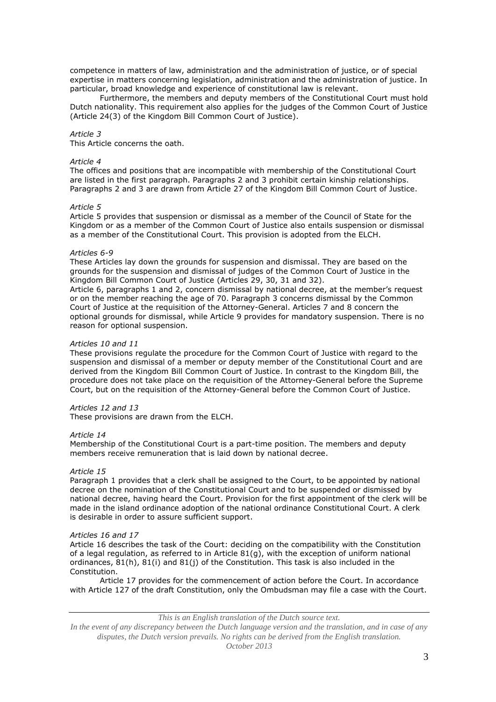competence in matters of law, administration and the administration of justice, or of special expertise in matters concerning legislation, administration and the administration of justice. In particular, broad knowledge and experience of constitutional law is relevant.

Furthermore, the members and deputy members of the Constitutional Court must hold Dutch nationality. This requirement also applies for the judges of the Common Court of Justice (Article 24(3) of the Kingdom Bill Common Court of Justice).

## *Article 3*

This Article concerns the oath.

## *Article 4*

The offices and positions that are incompatible with membership of the Constitutional Court are listed in the first paragraph. Paragraphs 2 and 3 prohibit certain kinship relationships. Paragraphs 2 and 3 are drawn from Article 27 of the Kingdom Bill Common Court of Justice.

### *Article 5*

Article 5 provides that suspension or dismissal as a member of the Council of State for the Kingdom or as a member of the Common Court of Justice also entails suspension or dismissal as a member of the Constitutional Court. This provision is adopted from the ELCH.

### *Articles 6-9*

These Articles lay down the grounds for suspension and dismissal. They are based on the grounds for the suspension and dismissal of judges of the Common Court of Justice in the Kingdom Bill Common Court of Justice (Articles 29, 30, 31 and 32).

Article 6, paragraphs 1 and 2, concern dismissal by national decree, at the member's request or on the member reaching the age of 70. Paragraph 3 concerns dismissal by the Common Court of Justice at the requisition of the Attorney-General. Articles 7 and 8 concern the optional grounds for dismissal, while Article 9 provides for mandatory suspension. There is no reason for optional suspension.

### *Articles 10 and 11*

These provisions regulate the procedure for the Common Court of Justice with regard to the suspension and dismissal of a member or deputy member of the Constitutional Court and are derived from the Kingdom Bill Common Court of Justice. In contrast to the Kingdom Bill, the procedure does not take place on the requisition of the Attorney-General before the Supreme Court, but on the requisition of the Attorney-General before the Common Court of Justice.

# *Articles 12 and 13*

These provisions are drawn from the ELCH.

### *Article 14*

Membership of the Constitutional Court is a part-time position. The members and deputy members receive remuneration that is laid down by national decree.

### *Article 15*

Paragraph 1 provides that a clerk shall be assigned to the Court, to be appointed by national decree on the nomination of the Constitutional Court and to be suspended or dismissed by national decree, having heard the Court. Provision for the first appointment of the clerk will be made in the island ordinance adoption of the national ordinance Constitutional Court. A clerk is desirable in order to assure sufficient support.

### *Articles 16 and 17*

Article 16 describes the task of the Court: deciding on the compatibility with the Constitution of a legal regulation, as referred to in Article 81(g), with the exception of uniform national ordinances, 81(h), 81(i) and 81(j) of the Constitution. This task is also included in the Constitution.

Article 17 provides for the commencement of action before the Court. In accordance with Article 127 of the draft Constitution, only the Ombudsman may file a case with the Court.

*This is an English translation of the Dutch source text.*

*In the event of any discrepancy between the Dutch language version and the translation, and in case of any disputes, the Dutch version prevails. No rights can be derived from the English translation. October 2013*